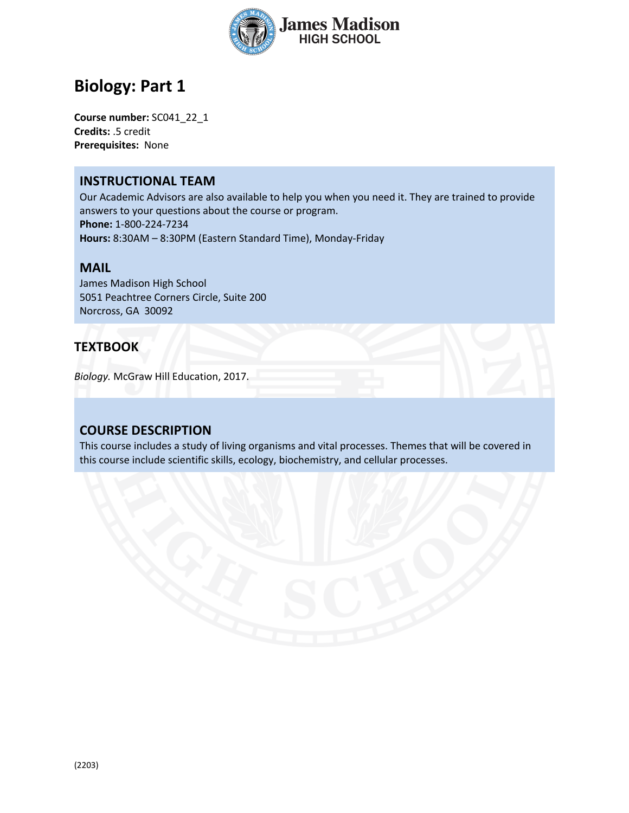

# **Biology: Part 1**

**Course number:** SC041\_22\_1 **Credits:** .5 credit **Prerequisites:** None

### **INSTRUCTIONAL TEAM**

Our Academic Advisors are also available to help you when you need it. They are trained to provide answers to your questions about the course or program. **Phone:** 1-800-224-7234 **Hours:** 8:30AM – 8:30PM (Eastern Standard Time), Monday-Friday

#### **MAIL**

James Madison High School 5051 Peachtree Corners Circle, Suite 200 Norcross, GA 30092

### **TEXTBOOK**

*Biology.* McGraw Hill Education, 2017.

### **COURSE DESCRIPTION**

This course includes a study of living organisms and vital processes. Themes that will be covered in this course include scientific skills, ecology, biochemistry, and cellular processes.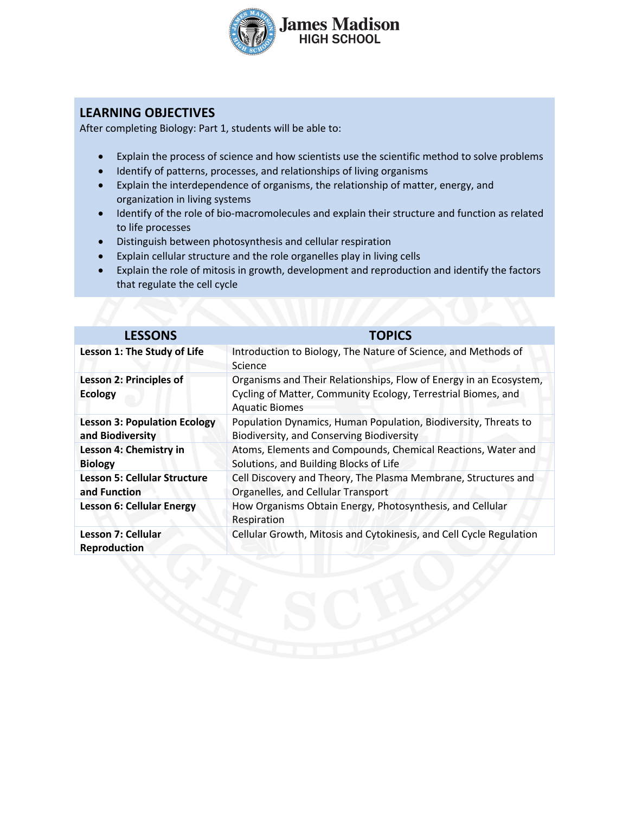

## **LEARNING OBJECTIVES**

After completing Biology: Part 1, students will be able to:

- Explain the process of science and how scientists use the scientific method to solve problems
- Identify of patterns, processes, and relationships of living organisms
- Explain the interdependence of organisms, the relationship of matter, energy, and organization in living systems
- Identify of the role of bio-macromolecules and explain their structure and function as related to life processes
- Distinguish between photosynthesis and cellular respiration
- Explain cellular structure and the role organelles play in living cells
- Explain the role of mitosis in growth, development and reproduction and identify the factors that regulate the cell cycle

| <b>LESSONS</b>                                          | <b>TOPICS</b>                                                                                                                                                |
|---------------------------------------------------------|--------------------------------------------------------------------------------------------------------------------------------------------------------------|
| Lesson 1: The Study of Life                             | Introduction to Biology, The Nature of Science, and Methods of<br>Science                                                                                    |
| <b>Lesson 2: Principles of</b><br><b>Ecology</b>        | Organisms and Their Relationships, Flow of Energy in an Ecosystem,<br>Cycling of Matter, Community Ecology, Terrestrial Biomes, and<br><b>Aquatic Biomes</b> |
| <b>Lesson 3: Population Ecology</b><br>and Biodiversity | Population Dynamics, Human Population, Biodiversity, Threats to<br>Biodiversity, and Conserving Biodiversity                                                 |
| Lesson 4: Chemistry in<br><b>Biology</b>                | Atoms, Elements and Compounds, Chemical Reactions, Water and<br>Solutions, and Building Blocks of Life                                                       |
| <b>Lesson 5: Cellular Structure</b><br>and Function     | Cell Discovery and Theory, The Plasma Membrane, Structures and<br>Organelles, and Cellular Transport                                                         |
| <b>Lesson 6: Cellular Energy</b>                        | How Organisms Obtain Energy, Photosynthesis, and Cellular<br>Respiration                                                                                     |
| Lesson 7: Cellular<br><b>Reproduction</b>               | Cellular Growth, Mitosis and Cytokinesis, and Cell Cycle Regulation                                                                                          |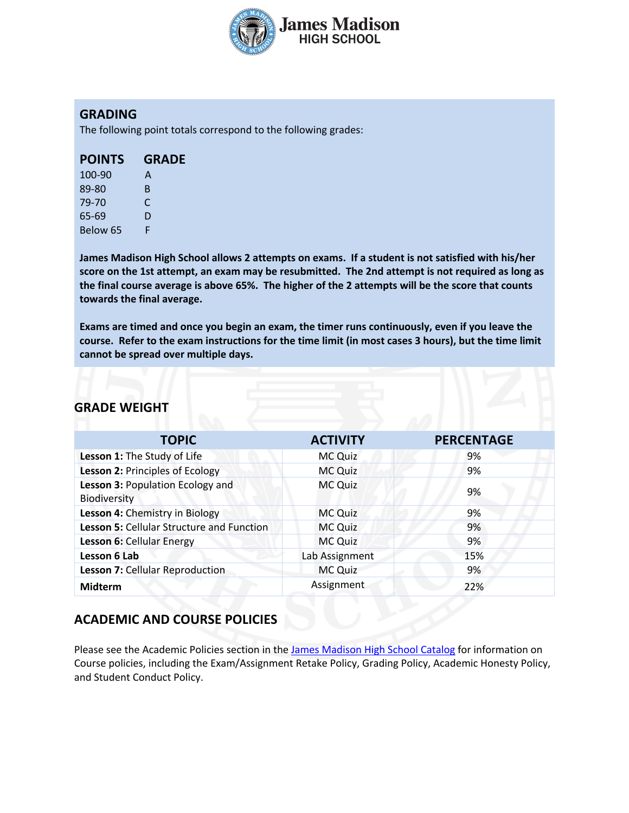

## **GRADING**

The following point totals correspond to the following grades:

| 100-90   | А  |
|----------|----|
| 89-80    | B. |
| 79-70    | C  |
| 65-69    | D  |
| Below 65 | F  |

**James Madison High School allows 2 attempts on exams. If a student is not satisfied with his/her score on the 1st attempt, an exam may be resubmitted. The 2nd attempt is not required as long as the final course average is above 65%. The higher of the 2 attempts will be the score that counts towards the final average.** 

**Exams are timed and once you begin an exam, the timer runs continuously, even if you leave the course. Refer to the exam instructions for the time limit (in most cases 3 hours), but the time limit cannot be spread over multiple days.**

### **GRADE WEIGHT**

| <b>TOPIC</b>                                     | <b>ACTIVITY</b> | <b>PERCENTAGE</b> |
|--------------------------------------------------|-----------------|-------------------|
| Lesson 1: The Study of Life                      | <b>MC Quiz</b>  | 9%                |
| Lesson 2: Principles of Ecology                  | <b>MC Quiz</b>  | 9%                |
| Lesson 3: Population Ecology and<br>Biodiversity | MC Quiz         | 9%                |
| Lesson 4: Chemistry in Biology                   | MC Quiz         | 9%                |
| Lesson 5: Cellular Structure and Function        | <b>MC Quiz</b>  | 9%                |
| Lesson 6: Cellular Energy                        | MC Quiz         | 9%                |
| Lesson 6 Lab                                     | Lab Assignment  | 15%               |
| Lesson 7: Cellular Reproduction                  | MC Quiz         | 9%                |
| <b>Midterm</b>                                   | Assignment      | 22%               |

## **ACADEMIC AND COURSE POLICIES**

Please see the Academic Policies section in the James Madison High School Catalog for information on Course policies, including the Exam/Assignment Retake Policy, Grading Policy, Academic Honesty Policy, and Student Conduct Policy.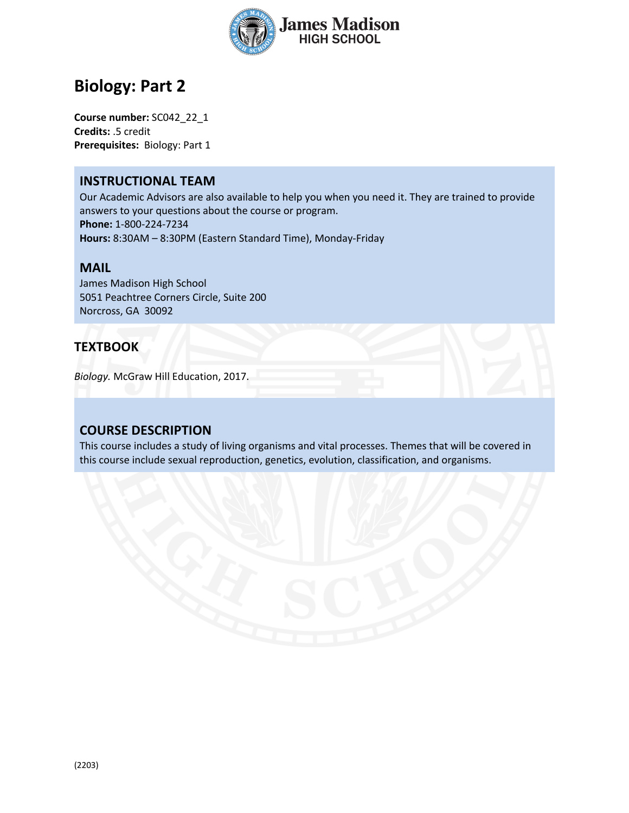

# **Biology: Part 2**

**Course number:** SC042\_22\_1 **Credits:** .5 credit **Prerequisites:** Biology: Part 1

### **INSTRUCTIONAL TEAM**

Our Academic Advisors are also available to help you when you need it. They are trained to provide answers to your questions about the course or program. **Phone:** 1-800-224-7234 **Hours:** 8:30AM – 8:30PM (Eastern Standard Time), Monday-Friday

#### **MAIL**

James Madison High School 5051 Peachtree Corners Circle, Suite 200 Norcross, GA 30092

### **TEXTBOOK**

*Biology.* McGraw Hill Education, 2017.

### **COURSE DESCRIPTION**

This course includes a study of living organisms and vital processes. Themes that will be covered in this course include sexual reproduction, genetics, evolution, classification, and organisms.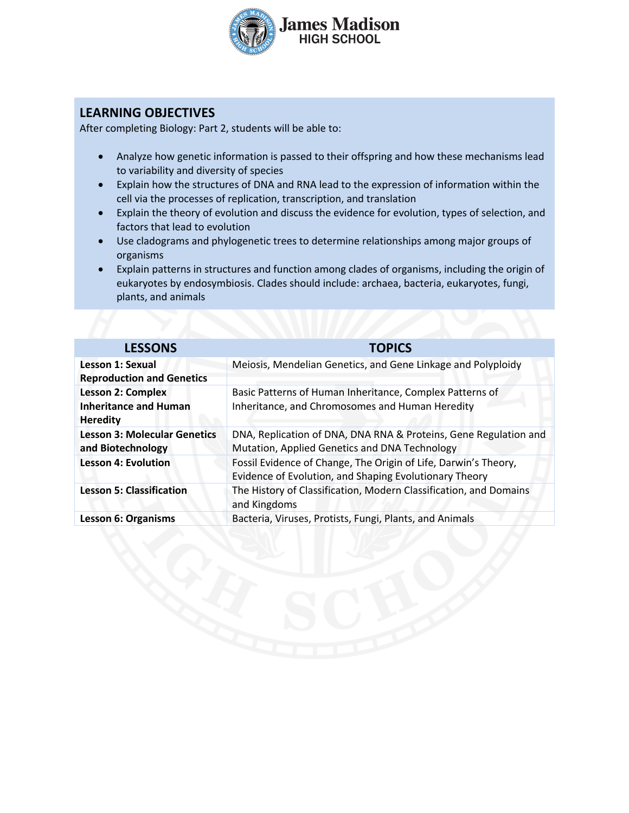

## **LEARNING OBJECTIVES**

After completing Biology: Part 2, students will be able to:

- Analyze how genetic information is passed to their offspring and how these mechanisms lead to variability and diversity of species
- Explain how the structures of DNA and RNA lead to the expression of information within the cell via the processes of replication, transcription, and translation
- Explain the theory of evolution and discuss the evidence for evolution, types of selection, and factors that lead to evolution
- Use cladograms and phylogenetic trees to determine relationships among major groups of organisms
- Explain patterns in structures and function among clades of organisms, including the origin of eukaryotes by endosymbiosis. Clades should include: archaea, bacteria, eukaryotes, fungi, plants, and animals

| <b>LESSONS</b>                      | <b>TOPICS</b>                                                                     |
|-------------------------------------|-----------------------------------------------------------------------------------|
| <b>Lesson 1: Sexual</b>             | Meiosis, Mendelian Genetics, and Gene Linkage and Polyploidy                      |
| <b>Reproduction and Genetics</b>    |                                                                                   |
| <b>Lesson 2: Complex</b>            | Basic Patterns of Human Inheritance, Complex Patterns of                          |
| <b>Inheritance and Human</b>        | Inheritance, and Chromosomes and Human Heredity                                   |
| <b>Heredity</b>                     |                                                                                   |
| <b>Lesson 3: Molecular Genetics</b> | DNA, Replication of DNA, DNA RNA & Proteins, Gene Regulation and                  |
| and Biotechnology                   | Mutation, Applied Genetics and DNA Technology                                     |
| <b>Lesson 4: Evolution</b>          | Fossil Evidence of Change, The Origin of Life, Darwin's Theory,                   |
|                                     | Evidence of Evolution, and Shaping Evolutionary Theory                            |
| <b>Lesson 5: Classification</b>     | The History of Classification, Modern Classification, and Domains<br>and Kingdoms |
| <b>Lesson 6: Organisms</b>          | Bacteria, Viruses, Protists, Fungi, Plants, and Animals                           |